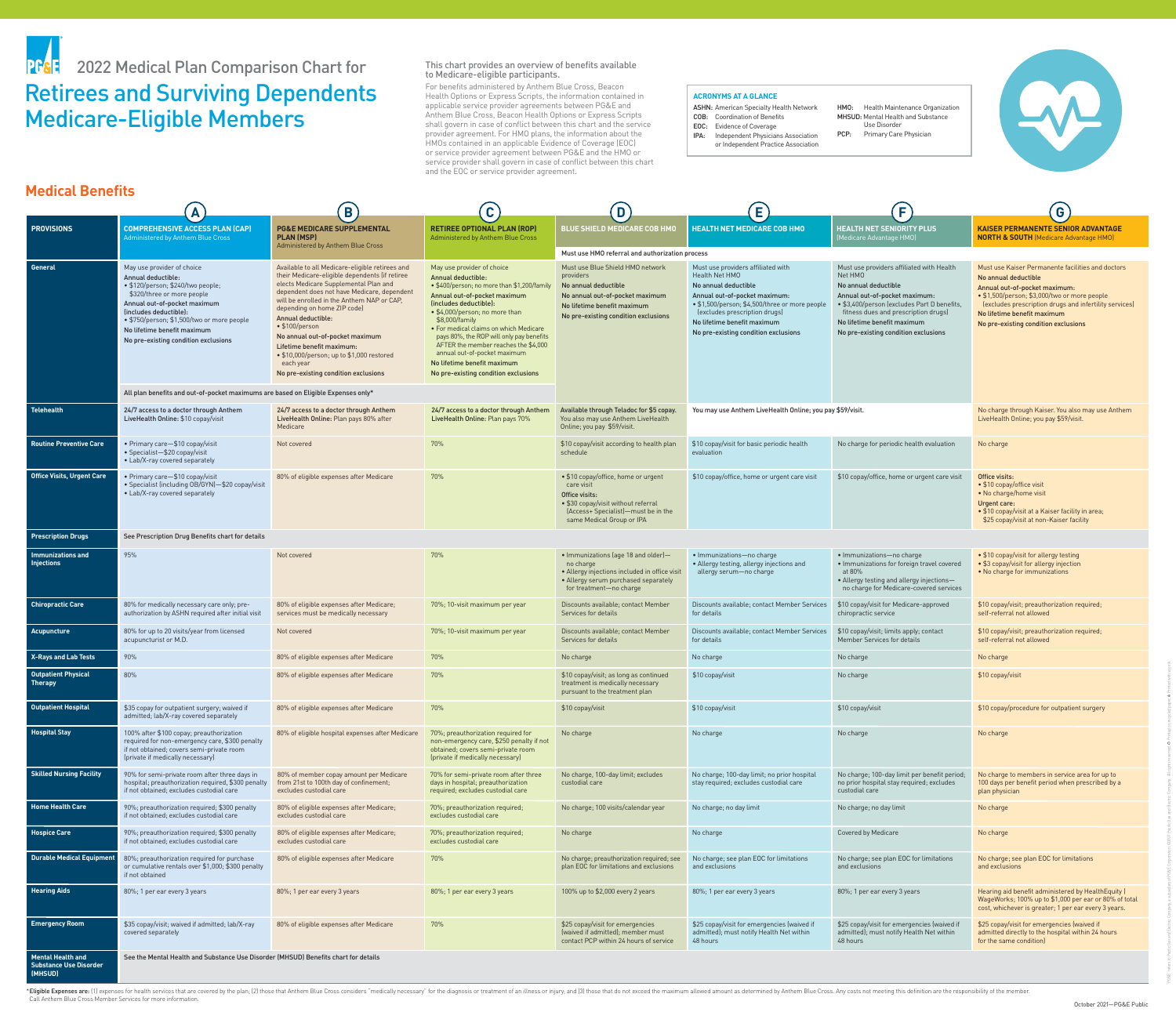



# Retirees and Surviving Dependents Medicare-Eligible Members **PF& 2022 Medical Plan Comparison Chart for**

This chart provides an overview of benefits available to Medicare-eligible participants. For benefits administered by Anthem Blue Cross, Beacon Health Options or Express Scripts, the information contained in applicable service provider agreements between PG&E and Anthem Blue Cross, Beacon Health Options or Express Scripts shall govern in case of conflict between this chart and the service provider agreement. For HMO plans, the information about the HMOs contained in an applicable Evidence of Coverage (EOC) or service provider agreement between PG&E and the HMO or service provider shall govern in case of conflict between this chart and the EOC or service provider agreement.

\*Eligible Expenses are: (1) expenses for health services that are covered by the plan; (2) those that Anthem Blue Cross considers "medically necessary" for the diagnosis or treatment of an illness or injury; and (3) those Call Anthem Blue Cross Member Services for more information.

HMO: Health Maintenance Organization MHSUD: Mental Health and Substance Use Disorder

PCP: Primary Care Physician



|                                                                      |                                                                                                                                                                                                                                                                                                    | B                                                                                                                                                                                                                                                                                                                                                                                                                                                                                       | C                                                                                                                                                                                                                                                                                                                                                                                                                                                        | D                                                                                                                                                                                     | Е                                                                                                                                                                                                                                                                       | F                                                                                                                                                                                                                                                                          | G                                                                                                                                                                                                                                                                                           |  |  |
|----------------------------------------------------------------------|----------------------------------------------------------------------------------------------------------------------------------------------------------------------------------------------------------------------------------------------------------------------------------------------------|-----------------------------------------------------------------------------------------------------------------------------------------------------------------------------------------------------------------------------------------------------------------------------------------------------------------------------------------------------------------------------------------------------------------------------------------------------------------------------------------|----------------------------------------------------------------------------------------------------------------------------------------------------------------------------------------------------------------------------------------------------------------------------------------------------------------------------------------------------------------------------------------------------------------------------------------------------------|---------------------------------------------------------------------------------------------------------------------------------------------------------------------------------------|-------------------------------------------------------------------------------------------------------------------------------------------------------------------------------------------------------------------------------------------------------------------------|----------------------------------------------------------------------------------------------------------------------------------------------------------------------------------------------------------------------------------------------------------------------------|---------------------------------------------------------------------------------------------------------------------------------------------------------------------------------------------------------------------------------------------------------------------------------------------|--|--|
| <b>PROVISIONS</b>                                                    | <b>COMPREHENSIVE ACCESS PLAN (CAP)</b><br>Administered by Anthem Blue Cross                                                                                                                                                                                                                        | <b>PG&amp;E MEDICARE SUPPLEMENTAL</b><br><b>PLAN (MSP)</b>                                                                                                                                                                                                                                                                                                                                                                                                                              | <b>RETIREE OPTIONAL PLAN (ROP)</b><br>Administered by Anthem Blue Cross                                                                                                                                                                                                                                                                                                                                                                                  | <b>BLUE SHIELD MEDICARE COB HMO</b>                                                                                                                                                   | <b>HEALTH NET MEDICARE COB HMO</b>                                                                                                                                                                                                                                      | <b>HEALTH NET SENIORITY PLUS</b><br>(Medicare Advantage HMO)                                                                                                                                                                                                               | <b>KAISER PERMANENTE SENIOR ADVANTAGE</b><br><b>NORTH &amp; SOUTH</b> (Medicare Advantage HMO)                                                                                                                                                                                              |  |  |
|                                                                      |                                                                                                                                                                                                                                                                                                    | Administered by Anthem Blue Cross                                                                                                                                                                                                                                                                                                                                                                                                                                                       |                                                                                                                                                                                                                                                                                                                                                                                                                                                          | Must use HMO referral and authorization process                                                                                                                                       |                                                                                                                                                                                                                                                                         |                                                                                                                                                                                                                                                                            |                                                                                                                                                                                                                                                                                             |  |  |
| <b>General</b>                                                       | May use provider of choice<br>Annual deductible:<br>· \$120/person; \$240/two people;<br>\$320/three or more people<br>Annual out-of-pocket maximum<br>(includes deductible):<br>• \$750/person; \$1,500/two or more people<br>No lifetime benefit maximum<br>No pre-existing condition exclusions | Available to all Medicare-eligible retirees and<br>their Medicare-eligible dependents (if retiree<br>elects Medicare Supplemental Plan and<br>dependent does not have Medicare, dependent<br>will be enrolled in the Anthem NAP or CAP.<br>depending on home ZIP code)<br><b>Annual deductible:</b><br>• \$100/person<br>No annual out-of-pocket maximum<br>Lifetime benefit maximum:<br>• \$10,000/person; up to \$1,000 restored<br>each year<br>No pre-existing condition exclusions | May use provider of choice<br><b>Annual deductible:</b><br>• \$400/person; no more than \$1,200/famil<br>Annual out-of-pocket maximum<br>(includes deductible):<br>• \$4,000/person; no more than<br>\$8,000/family<br>• For medical claims on which Medicare<br>pays 80%, the ROP will only pay benefits<br>AFTER the member reaches the \$4,000<br>annual out-of-pocket maximum<br>No lifetime benefit maximum<br>No pre-existing condition exclusions | Must use Blue Shield HMO network<br>providers<br>No annual deductible<br>No annual out-of-pocket maximum<br>No lifetime benefit maximum<br>No pre-existing condition exclusions       | Must use providers affiliated with<br>Health Net HMO<br>No annual deductible<br>Annual out-of-pocket maximum:<br>• \$1,500/person; \$4,500/three or more people<br>(excludes prescription drugs)<br>No lifetime benefit maximum<br>No pre-existing condition exclusions | Must use providers affiliated with Health<br>Net HMO<br>No annual deductible<br>Annual out-of-pocket maximum:<br>• \$3,400/person (excludes Part D benefits<br>fitness dues and prescription drugs)<br>No lifetime benefit maximum<br>No pre-existing condition exclusions | Must use Kaiser Permanente facilities and doctors<br>No annual deductible<br>Annual out-of-pocket maximum:<br>• \$1,500/person; \$3,000/two or more people<br>(excludes prescription drugs and infertility services)<br>No lifetime benefit maximum<br>No pre-existing condition exclusions |  |  |
|                                                                      | All plan benefits and out-of-pocket maximums are based on Eligible Expenses only*                                                                                                                                                                                                                  |                                                                                                                                                                                                                                                                                                                                                                                                                                                                                         |                                                                                                                                                                                                                                                                                                                                                                                                                                                          |                                                                                                                                                                                       |                                                                                                                                                                                                                                                                         |                                                                                                                                                                                                                                                                            |                                                                                                                                                                                                                                                                                             |  |  |
| <b>Telehealth</b>                                                    | 24/7 access to a doctor through Anthem<br>LiveHealth Online: \$10 copay/visit                                                                                                                                                                                                                      | 24/7 access to a doctor through Anthem<br>LiveHealth Online: Plan pays 80% after<br>Medicare                                                                                                                                                                                                                                                                                                                                                                                            | 24/7 access to a doctor through Anthen<br>LiveHealth Online: Plan pays 70%                                                                                                                                                                                                                                                                                                                                                                               | Available through Teladoc for \$5 copay.<br>You also may use Anthem LiveHealth<br>Online; you pay \$59/visit.                                                                         | You may use Anthem LiveHealth Online; you pay \$59/visit.                                                                                                                                                                                                               |                                                                                                                                                                                                                                                                            | No charge through Kaiser. You also may use Anthem<br>LiveHealth Online; you pay \$59/visit.                                                                                                                                                                                                 |  |  |
| <b>Routine Preventive Care</b>                                       | • Primary care-\$10 copay/visit<br>• Specialist-\$20 copay/visit<br>• Lab/X-ray covered separately                                                                                                                                                                                                 | Not covered                                                                                                                                                                                                                                                                                                                                                                                                                                                                             | 70%                                                                                                                                                                                                                                                                                                                                                                                                                                                      | \$10 copay/visit according to health plan<br>schedule                                                                                                                                 | \$10 copay/visit for basic periodic health<br>evaluation                                                                                                                                                                                                                | No charge for periodic health evaluation                                                                                                                                                                                                                                   | No charge                                                                                                                                                                                                                                                                                   |  |  |
| <b>Office Visits, Urgent Care</b>                                    | • Primary care-\$10 copay/visit<br>• Specialist (including OB/GYN)-\$20 copay/visit<br>• Lab/X-ray covered separately                                                                                                                                                                              | 80% of eligible expenses after Medicare                                                                                                                                                                                                                                                                                                                                                                                                                                                 | 70%                                                                                                                                                                                                                                                                                                                                                                                                                                                      | • \$10 copay/office, home or urgent<br>care visit<br><b>Office visits:</b><br>• \$30 copay/visit without referral<br>(Access+ Specialist)—must be in the<br>same Medical Group or IPA | \$10 copay/office, home or urgent care visit                                                                                                                                                                                                                            | \$10 copay/office, home or urgent care visit                                                                                                                                                                                                                               | <b>Office visits:</b><br>• \$10 copay/office visit<br>• No charge/home visit<br>Urgent care:<br>• \$10 copay/visit at a Kaiser facility in area;<br>\$25 copay/visit at non-Kaiser facility                                                                                                 |  |  |
| <b>Prescription Drugs</b>                                            | See Prescription Drug Benefits chart for details                                                                                                                                                                                                                                                   |                                                                                                                                                                                                                                                                                                                                                                                                                                                                                         |                                                                                                                                                                                                                                                                                                                                                                                                                                                          |                                                                                                                                                                                       |                                                                                                                                                                                                                                                                         |                                                                                                                                                                                                                                                                            |                                                                                                                                                                                                                                                                                             |  |  |
| <b>Immunizations and</b><br><b>Injections</b>                        | 95%                                                                                                                                                                                                                                                                                                | Not covered                                                                                                                                                                                                                                                                                                                                                                                                                                                                             | 70%                                                                                                                                                                                                                                                                                                                                                                                                                                                      | • Immunizations (age 18 and older)-<br>no charge<br>• Allergy injections included in office visit<br>• Allergy serum purchased separately<br>for treatment-no charge                  | · Immunizations-no charge<br>• Allergy testing, allergy injections and<br>allergy serum-no charge                                                                                                                                                                       | • Immunizations-no charge<br>· Immunizations for foreign travel covered<br>at 80%<br>• Allergy testing and allergy injections-<br>no charge for Medicare-covered services                                                                                                  | • \$10 copay/visit for allergy testing<br>• \$3 copay/visit for allergy injection<br>• No charge for immunizations                                                                                                                                                                          |  |  |
| <b>Chiropractic Care</b>                                             | 80% for medically necessary care only; pre-<br>authorization by ASHN required after initial visit                                                                                                                                                                                                  | 80% of eligible expenses after Medicare;<br>services must be medically necessary                                                                                                                                                                                                                                                                                                                                                                                                        | 70%; 10-visit maximum per year                                                                                                                                                                                                                                                                                                                                                                                                                           | Discounts available; contact Member<br>Services for details                                                                                                                           | Discounts available; contact Member Services<br>for details                                                                                                                                                                                                             | \$10 copay/visit for Medicare-approved<br>chiropractic service                                                                                                                                                                                                             | \$10 copay/visit; preauthorization required;<br>self-referral not allowed                                                                                                                                                                                                                   |  |  |
| Acupuncture                                                          | 80% for up to 20 visits/year from licensed<br>acupuncturist or M.D.                                                                                                                                                                                                                                | Not covered                                                                                                                                                                                                                                                                                                                                                                                                                                                                             | 70%; 10-visit maximum per year                                                                                                                                                                                                                                                                                                                                                                                                                           | Discounts available; contact Member<br>Services for details                                                                                                                           | Discounts available; contact Member Services<br>for details                                                                                                                                                                                                             | \$10 copay/visit; limits apply; contact<br>Member Services for details                                                                                                                                                                                                     | \$10 copay/visit; preauthorization required;<br>self-referral not allowed                                                                                                                                                                                                                   |  |  |
| <b>X-Rays and Lab Tests</b>                                          | 90%                                                                                                                                                                                                                                                                                                | 80% of eligible expenses after Medicare                                                                                                                                                                                                                                                                                                                                                                                                                                                 | 70%                                                                                                                                                                                                                                                                                                                                                                                                                                                      | No charge                                                                                                                                                                             | No charge                                                                                                                                                                                                                                                               | No charge                                                                                                                                                                                                                                                                  | No charge                                                                                                                                                                                                                                                                                   |  |  |
| Outpatient Physical<br><b>Therapy</b>                                | 80%                                                                                                                                                                                                                                                                                                | 80% of eligible expenses after Medicare                                                                                                                                                                                                                                                                                                                                                                                                                                                 | 70%                                                                                                                                                                                                                                                                                                                                                                                                                                                      | \$10 copay/visit; as long as continued<br>treatment is medically necessary<br>pursuant to the treatment plan                                                                          | \$10 copay/visit                                                                                                                                                                                                                                                        | No charge                                                                                                                                                                                                                                                                  | \$10 copay/visit                                                                                                                                                                                                                                                                            |  |  |
| <b>Outpatient Hospital</b>                                           | \$35 copay for outpatient surgery; waived if<br>admitted; lab/X-ray covered separately                                                                                                                                                                                                             | 80% of eligible expenses after Medicare                                                                                                                                                                                                                                                                                                                                                                                                                                                 | 70%                                                                                                                                                                                                                                                                                                                                                                                                                                                      | \$10 copay/visit                                                                                                                                                                      | \$10 copay/visit                                                                                                                                                                                                                                                        | \$10 copay/visit                                                                                                                                                                                                                                                           | \$10 copay/procedure for outpatient surgery                                                                                                                                                                                                                                                 |  |  |
| <b>Hospital Stay</b>                                                 | 100% after \$100 copay; preauthorization<br>required for non-emergency care, \$300 penalty<br>if not obtained; covers semi-private room<br>(private if medically necessary)                                                                                                                        | 80% of eligible hospital expenses after Medicare                                                                                                                                                                                                                                                                                                                                                                                                                                        | 70%; preauthorization required for<br>non-emergency care, \$250 penalty if not<br>obtained; covers semi-private room<br>(private if medically necessary)                                                                                                                                                                                                                                                                                                 | No charge                                                                                                                                                                             | No charge                                                                                                                                                                                                                                                               | No charge                                                                                                                                                                                                                                                                  | No charge                                                                                                                                                                                                                                                                                   |  |  |
| <b>Skilled Nursing Facility</b>                                      | 90% for semi-private room after three days in<br>hospital; preauthorization required, \$300 penalty<br>if not obtained; excludes custodial care                                                                                                                                                    | 80% of member copay amount per Medicare<br>from 21st to 100th day of confinement;<br>excludes custodial care                                                                                                                                                                                                                                                                                                                                                                            | 70% for semi-private room after three<br>days in hospital; preauthorization<br>required; excludes custodial care                                                                                                                                                                                                                                                                                                                                         | No charge, 100-day limit; excludes<br>custodial care                                                                                                                                  | No charge; 100-day limit; no prior hospital<br>stay required; excludes custodial care                                                                                                                                                                                   | No charge; 100-day limit per benefit period<br>no prior hospital stay required; excludes<br>custodial care                                                                                                                                                                 | No charge to members in service area for up to<br>100 days per benefit period when prescribed by a<br>plan physician                                                                                                                                                                        |  |  |
| <b>Home Health Care</b>                                              | 90%; preauthorization required; \$300 penalty<br>if not obtained; excludes custodial care                                                                                                                                                                                                          | 80% of eligible expenses after Medicare;<br>excludes custodial care                                                                                                                                                                                                                                                                                                                                                                                                                     | 70%; preauthorization required;<br>excludes custodial care                                                                                                                                                                                                                                                                                                                                                                                               | No charge; 100 visits/calendar year                                                                                                                                                   | No charge; no day limit                                                                                                                                                                                                                                                 | No charge; no day limit                                                                                                                                                                                                                                                    | No charge                                                                                                                                                                                                                                                                                   |  |  |
| <b>Hospice Care</b>                                                  | 90%; preauthorization required; \$300 penalty<br>if not obtained; excludes custodial care                                                                                                                                                                                                          | 80% of eligible expenses after Medicare;<br>excludes custodial care                                                                                                                                                                                                                                                                                                                                                                                                                     | 70%; preauthorization required;<br>excludes custodial care                                                                                                                                                                                                                                                                                                                                                                                               | No charge                                                                                                                                                                             | No charge                                                                                                                                                                                                                                                               | <b>Covered by Medicare</b>                                                                                                                                                                                                                                                 | No charge                                                                                                                                                                                                                                                                                   |  |  |
| <b>Durable Medical Equipmen</b>                                      | 80%; preauthorization required for purchase<br>or cumulative rentals over \$1,000; \$300 penalty<br>if not obtained                                                                                                                                                                                | 80% of eligible expenses after Medicare                                                                                                                                                                                                                                                                                                                                                                                                                                                 | 70%                                                                                                                                                                                                                                                                                                                                                                                                                                                      | No charge; preauthorization required; see<br>plan EOC for limitations and exclusions                                                                                                  | No charge; see plan EOC for limitations<br>and exclusions                                                                                                                                                                                                               | No charge; see plan EOC for limitations<br>and exclusions                                                                                                                                                                                                                  | No charge; see plan EOC for limitations<br>and exclusions                                                                                                                                                                                                                                   |  |  |
| <b>Hearing Aids</b>                                                  | 80%; 1 per ear every 3 years                                                                                                                                                                                                                                                                       | 80%; 1 per ear every 3 years                                                                                                                                                                                                                                                                                                                                                                                                                                                            | 80%; 1 per ear every 3 years                                                                                                                                                                                                                                                                                                                                                                                                                             | 100% up to \$2,000 every 2 years                                                                                                                                                      | 80%; 1 per ear every 3 years                                                                                                                                                                                                                                            | 80%; 1 per ear every 3 years                                                                                                                                                                                                                                               | Hearing aid benefit administered by HealthEquity  <br>WageWorks; 100% up to \$1,000 per ear or 80% of total<br>cost, whichever is greater; 1 per ear every 3 years.                                                                                                                         |  |  |
| <b>Emergency Room</b>                                                | \$35 copay/visit; waived if admitted; lab/X-ray<br>covered separately                                                                                                                                                                                                                              | 80% of eligible expenses after Medicare                                                                                                                                                                                                                                                                                                                                                                                                                                                 | 70%                                                                                                                                                                                                                                                                                                                                                                                                                                                      | \$25 copay/visit for emergencies<br>(waived if admitted); member must<br>contact PCP within 24 hours of service                                                                       | \$25 copay/visit for emergencies (waived if<br>admitted); must notify Health Net within<br>48 hours                                                                                                                                                                     | \$25 copay/visit for emergencies (waived if<br>admitted); must notify Health Net within<br>48 hours                                                                                                                                                                        | \$25 copay/visit for emergencies (waived if<br>admitted directly to the hospital within 24 hours<br>for the same condition)                                                                                                                                                                 |  |  |
| <b>Mental Health and</b><br><b>Substance Use Disorder</b><br>[MHSUD] | See the Mental Health and Substance Use Disorder (MHSUD) Benefits chart for details                                                                                                                                                                                                                |                                                                                                                                                                                                                                                                                                                                                                                                                                                                                         |                                                                                                                                                                                                                                                                                                                                                                                                                                                          |                                                                                                                                                                                       |                                                                                                                                                                                                                                                                         |                                                                                                                                                                                                                                                                            |                                                                                                                                                                                                                                                                                             |  |  |

# **Medical Benefits**

"PG&E" refers to Pacific Gas and Electric Company, a subsidiary of PG&E Corporation. ©2021 Pacific Gas and Electric Company. All rights reserved. Printed on recycled paper. Printed with soy ink.

### **ACRONYMS AT A GLANCE**

ASHN: American Specialty Health Network COB: Coordination of Benefits EOC: Evidence of Coverage

IPA: Independent Physicians Association or Independent Practice Association